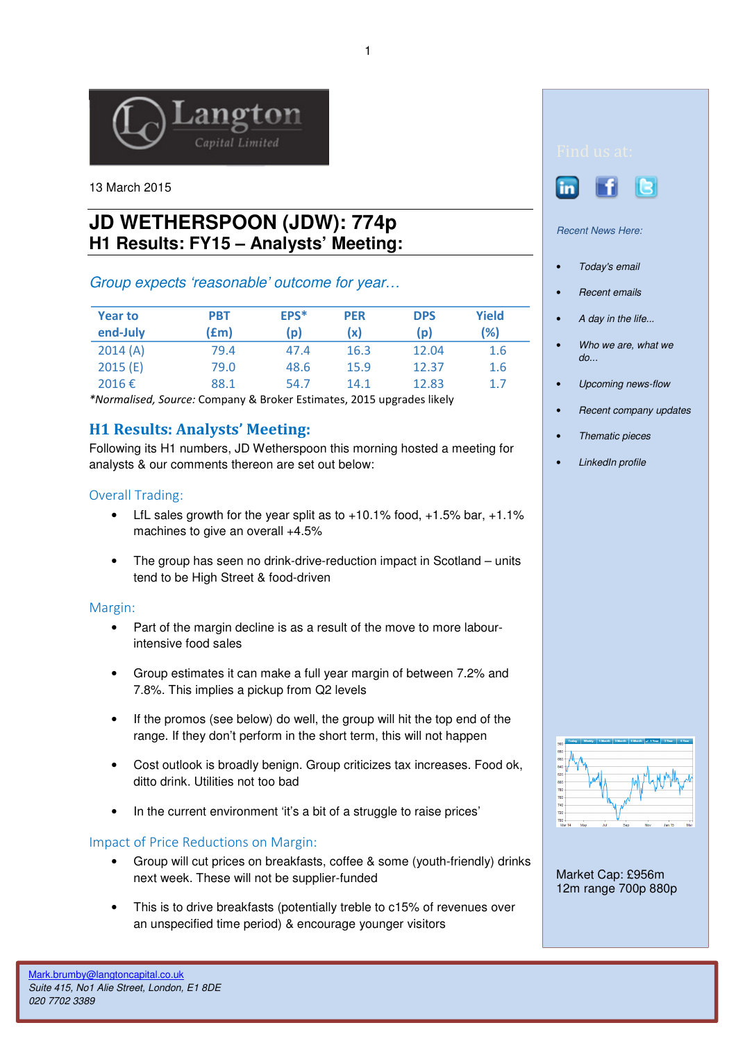

13 March 2015

# **JD WETHERSPOON (JDW): 774p H1 Results: FY15 – Analysts' Meeting:**

## Group expects 'reasonable' outcome for year…

| <b>Year to</b><br>end-July | <b>PBT</b><br>(£m) | EPS*<br>(p) | <b>PER</b><br>(x) | <b>DPS</b><br>(p) | Yield<br>(%) |
|----------------------------|--------------------|-------------|-------------------|-------------------|--------------|
| 2014(A)                    | 79.4               | 47.4        | 16.3              | 12.04             | 1.6          |
| 2015(E)                    | 79.0               | 48.6        | 15.9              | 12.37             | 1.6          |
| 2016€                      | 88.1               | 54.7        | 14.1              | 12.83             | 1.7          |

\*Normalised, Source: Company & Broker Estimates, 2015 upgrades likely

# H1 Results: Analysts' Meeting:

Following its H1 numbers, JD Wetherspoon this morning hosted a meeting for analysts & our comments thereon are set out below:

### Overall Trading:

- LfL sales growth for the year split as to  $+10.1\%$  food,  $+1.5\%$  bar,  $+1.1\%$ machines to give an overall +4.5%
- The group has seen no drink-drive-reduction impact in Scotland units tend to be High Street & food-driven

#### Margin:

- Part of the margin decline is as a result of the move to more labourintensive food sales
- Group estimates it can make a full year margin of between 7.2% and 7.8%. This implies a pickup from Q2 levels
- If the promos (see below) do well, the group will hit the top end of the range. If they don't perform in the short term, this will not happen
- Cost outlook is broadly benign. Group criticizes tax increases. Food ok, ditto drink. Utilities not too bad
- In the current environment 'it's a bit of a struggle to raise prices'

## Impact of Price Reductions on Margin:

- Group will cut prices on breakfasts, coffee & some (youth-friendly) drinks next week. These will not be supplier-funded
- This is to drive breakfasts (potentially treble to c15% of revenues over an unspecified time period) & encourage younger visitors





Recent News Here:

- Today's email
- Recent emails
- A day in the life...
- Who we are, what we do...
- Upcoming news-flow
- Recent company updates
- Thematic pieces
- LinkedIn profile



Market Cap: £956m 12m range 700p 880p